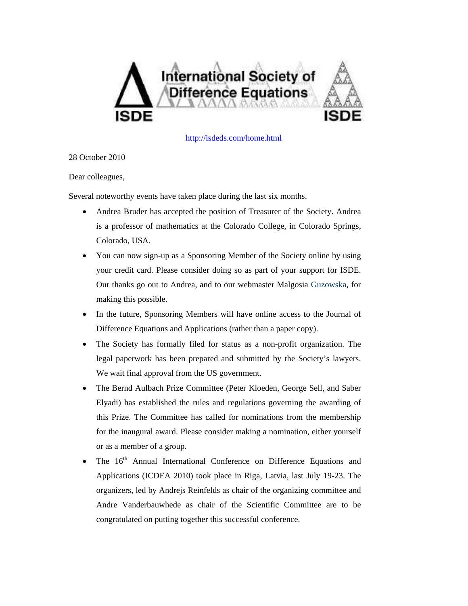

<http://isdeds.com/home.html>

28 October 2010

Dear colleagues,

Several noteworthy events have taken place during the last six months.

- Andrea Bruder has accepted the position of Treasurer of the Society. Andrea is a professor of mathematics at the Colorado College, in Colorado Springs, Colorado, USA.
- You can now sign-up as a Sponsoring Member of the Society online by using your credit card. Please consider doing so as part of your support for ISDE. Our thanks go out to Andrea, and to our webmaster Malgosia Guzowska, for making this possible.
- In the future, Sponsoring Members will have online access to the Journal of Difference Equations and Applications (rather than a paper copy).
- The Society has formally filed for status as a non-profit organization. The legal paperwork has been prepared and submitted by the Society's lawyers. We wait final approval from the US government.
- The Bernd Aulbach Prize Committee (Peter Kloeden, George Sell, and Saber Elyadi) has established the rules and regulations governing the awarding of this Prize. The Committee has called for nominations from the membership for the inaugural award. Please consider making a nomination, either yourself or as a member of a group.
- The 16<sup>th</sup> Annual International Conference on Difference Equations and Applications (ICDEA 2010) took place in Riga, Latvia, last July 19-23. The organizers, led by Andrejs Reinfelds as chair of the organizing committee and Andre Vanderbauwhede as chair of the Scientific Committee are to be congratulated on putting together this successful conference.